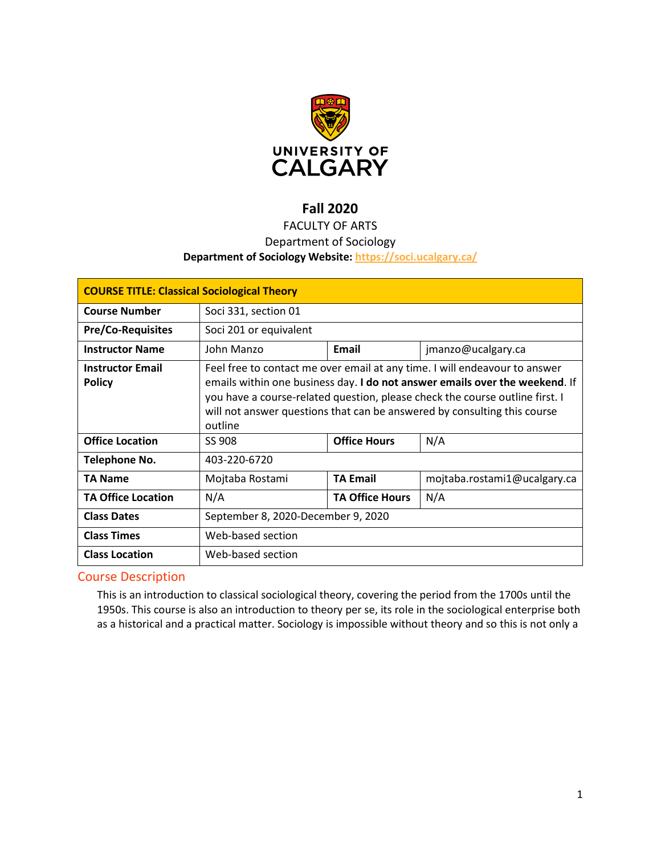

# **Fall 2020**

# FACULTY OF ARTS

# Department of Sociology

#### **Department of Sociology Website:<https://soci.ucalgary.ca/>**

| <b>COURSE TITLE: Classical Sociological Theory</b> |                                                                                                                                                                                                                                                                                                                                  |                        |                              |  |
|----------------------------------------------------|----------------------------------------------------------------------------------------------------------------------------------------------------------------------------------------------------------------------------------------------------------------------------------------------------------------------------------|------------------------|------------------------------|--|
| <b>Course Number</b>                               | Soci 331, section 01                                                                                                                                                                                                                                                                                                             |                        |                              |  |
| <b>Pre/Co-Requisites</b>                           | Soci 201 or equivalent                                                                                                                                                                                                                                                                                                           |                        |                              |  |
| <b>Instructor Name</b>                             | John Manzo                                                                                                                                                                                                                                                                                                                       | Email                  | jmanzo@ucalgary.ca           |  |
| <b>Instructor Email</b><br><b>Policy</b>           | Feel free to contact me over email at any time. I will endeavour to answer<br>emails within one business day. I do not answer emails over the weekend. If<br>you have a course-related question, please check the course outline first. I<br>will not answer questions that can be answered by consulting this course<br>outline |                        |                              |  |
| <b>Office Location</b>                             | SS 908                                                                                                                                                                                                                                                                                                                           | <b>Office Hours</b>    | N/A                          |  |
| Telephone No.                                      | 403-220-6720                                                                                                                                                                                                                                                                                                                     |                        |                              |  |
| <b>TA Name</b>                                     | Mojtaba Rostami                                                                                                                                                                                                                                                                                                                  | <b>TA Email</b>        | mojtaba.rostami1@ucalgary.ca |  |
| <b>TA Office Location</b>                          | N/A                                                                                                                                                                                                                                                                                                                              | <b>TA Office Hours</b> | N/A                          |  |
| <b>Class Dates</b>                                 | September 8, 2020-December 9, 2020                                                                                                                                                                                                                                                                                               |                        |                              |  |
| <b>Class Times</b>                                 | Web-based section                                                                                                                                                                                                                                                                                                                |                        |                              |  |
| <b>Class Location</b>                              | Web-based section                                                                                                                                                                                                                                                                                                                |                        |                              |  |

## Course Description

This is an introduction to classical sociological theory, covering the period from the 1700s until the 1950s. This course is also an introduction to theory per se, its role in the sociological enterprise both as a historical and a practical matter. Sociology is impossible without theory and so this is not only a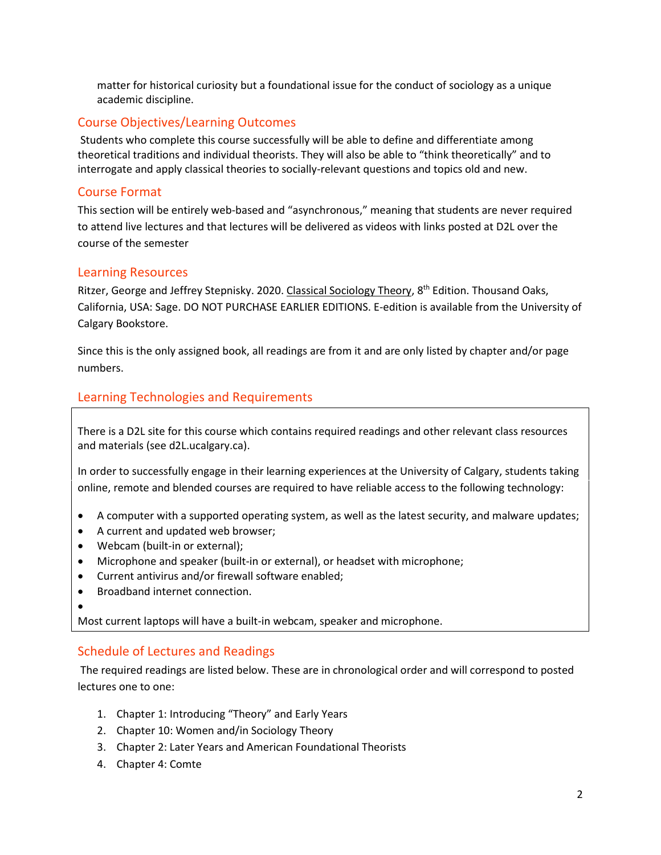matter for historical curiosity but a foundational issue for the conduct of sociology as a unique academic discipline.

# Course Objectives/Learning Outcomes

Students who complete this course successfully will be able to define and differentiate among theoretical traditions and individual theorists. They will also be able to "think theoretically" and to interrogate and apply classical theories to socially-relevant questions and topics old and new.

### Course Format

This section will be entirely web-based and "asynchronous," meaning that students are never required to attend live lectures and that lectures will be delivered as videos with links posted at D2L over the course of the semester

## Learning Resources

Ritzer, George and Jeffrey Stepnisky. 2020. Classical Sociology Theory, 8<sup>th</sup> Edition. Thousand Oaks, California, USA: Sage. DO NOT PURCHASE EARLIER EDITIONS. E-edition is available from the University of Calgary Bookstore.

Since this is the only assigned book, all readings are from it and are only listed by chapter and/or page numbers.

# Learning Technologies and Requirements

There is a D2L site for this course which contains required readings and other relevant class resources and materials (see d2L.ucalgary.ca).

In order to successfully engage in their learning experiences at the University of Calgary, students taking online, remote and blended courses are required to have reliable access to the following technology:

- A computer with a supported operating system, as well as the latest security, and malware updates;
- A current and updated web browser;
- Webcam (built-in or external);
- Microphone and speaker (built-in or external), or headset with microphone;
- Current antivirus and/or firewall software enabled;
- Broadband internet connection.
- •

Most current laptops will have a built-in webcam, speaker and microphone.

# Schedule of Lectures and Readings

The required readings are listed below. These are in chronological order and will correspond to posted lectures one to one:

- 1. Chapter 1: Introducing "Theory" and Early Years
- 2. Chapter 10: Women and/in Sociology Theory
- 3. Chapter 2: Later Years and American Foundational Theorists
- 4. Chapter 4: Comte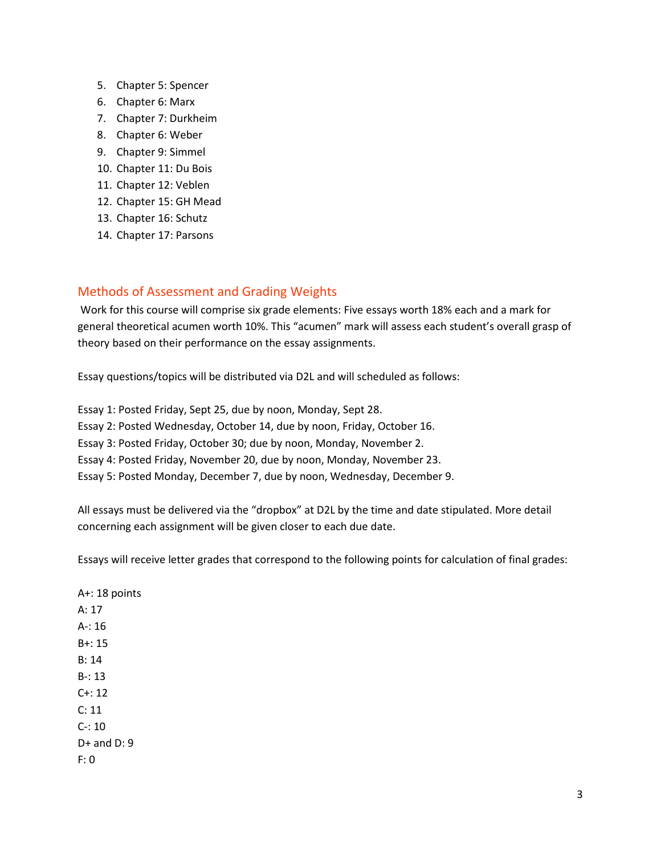- 5. Chapter 5: Spencer
- 6. Chapter 6: Marx
- 7. Chapter 7: Durkheim
- 8. Chapter 6: Weber
- 9. Chapter 9: Simmel
- 10. Chapter 11: Du Bois
- 11. Chapter 12: Veblen
- 12. Chapter 15: GH Mead
- 13. Chapter 16: Schutz
- 14. Chapter 17: Parsons

# Methods of Assessment and Grading Weights

Work for this course will comprise six grade elements: Five essays worth 18% each and a mark for general theoretical acumen worth 10%. This "acumen" mark will assess each student's overall grasp of theory based on their performance on the essay assignments.

Essay questions/topics will be distributed via D2L and will scheduled as follows:

Essay 1: Posted Friday, Sept 25, due by noon, Monday, Sept 28. Essay 2: Posted Wednesday, October 14, due by noon, Friday, October 16. Essay 3: Posted Friday, October 30; due by noon, Monday, November 2. Essay 4: Posted Friday, November 20, due by noon, Monday, November 23. Essay 5: Posted Monday, December 7, due by noon, Wednesday, December 9.

All essays must be delivered via the "dropbox" at D2L by the time and date stipulated. More detail concerning each assignment will be given closer to each due date.

Essays will receive letter grades that correspond to the following points for calculation of final grades:

A+: 18 points A: 17 A-: 16 B+: 15 B: 14 B-: 13  $C + 12$ C: 11 C-: 10 D+ and D: 9 F: 0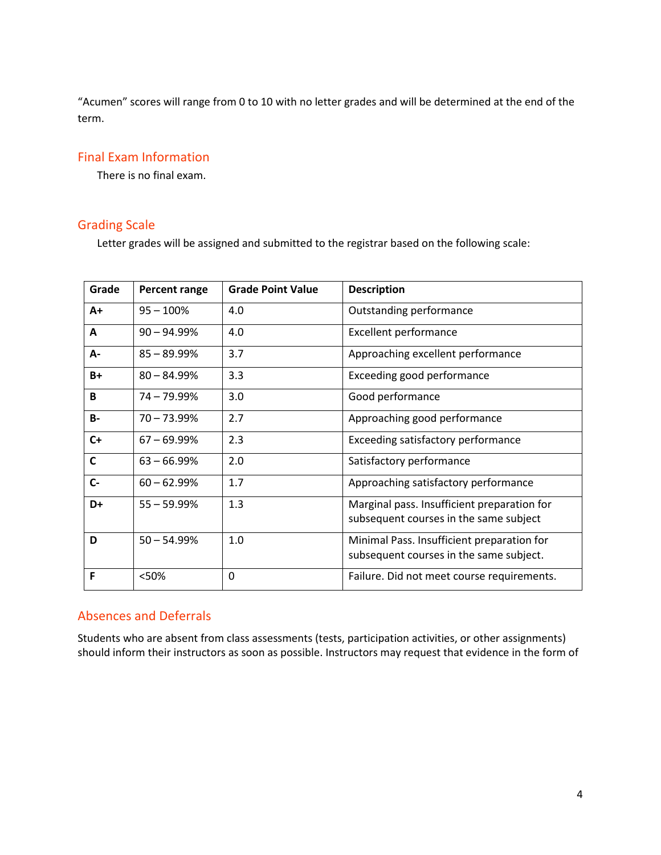"Acumen" scores will range from 0 to 10 with no letter grades and will be determined at the end of the term.

## Final Exam Information

There is no final exam.

# Grading Scale

Letter grades will be assigned and submitted to the registrar based on the following scale:

| Grade        | Percent range  | <b>Grade Point Value</b> | <b>Description</b>                                                                    |
|--------------|----------------|--------------------------|---------------------------------------------------------------------------------------|
| $A+$         | $95 - 100\%$   | 4.0                      | Outstanding performance                                                               |
| A            | $90 - 94.99%$  | 4.0                      | <b>Excellent performance</b>                                                          |
| А-           | $85 - 89.99%$  | 3.7                      | Approaching excellent performance                                                     |
| $B+$         | $80 - 84.99\%$ | 3.3                      | Exceeding good performance                                                            |
| B            | $74 - 79.99\%$ | 3.0                      | Good performance                                                                      |
| <b>B-</b>    | $70 - 73.99\%$ | 2.7                      | Approaching good performance                                                          |
| $C+$         | $67 - 69.99\%$ | 2.3                      | Exceeding satisfactory performance                                                    |
| $\mathsf{C}$ | $63 - 66.99%$  | 2.0                      | Satisfactory performance                                                              |
| $C -$        | $60 - 62.99%$  | 1.7                      | Approaching satisfactory performance                                                  |
| D+           | $55 - 59.99%$  | 1.3                      | Marginal pass. Insufficient preparation for<br>subsequent courses in the same subject |
| D            | $50 - 54.99%$  | 1.0                      | Minimal Pass. Insufficient preparation for<br>subsequent courses in the same subject. |
| F            | <50%           | 0                        | Failure. Did not meet course requirements.                                            |

#### Absences and Deferrals

Students who are absent from class assessments (tests, participation activities, or other assignments) should inform their instructors as soon as possible. Instructors may request that evidence in the form of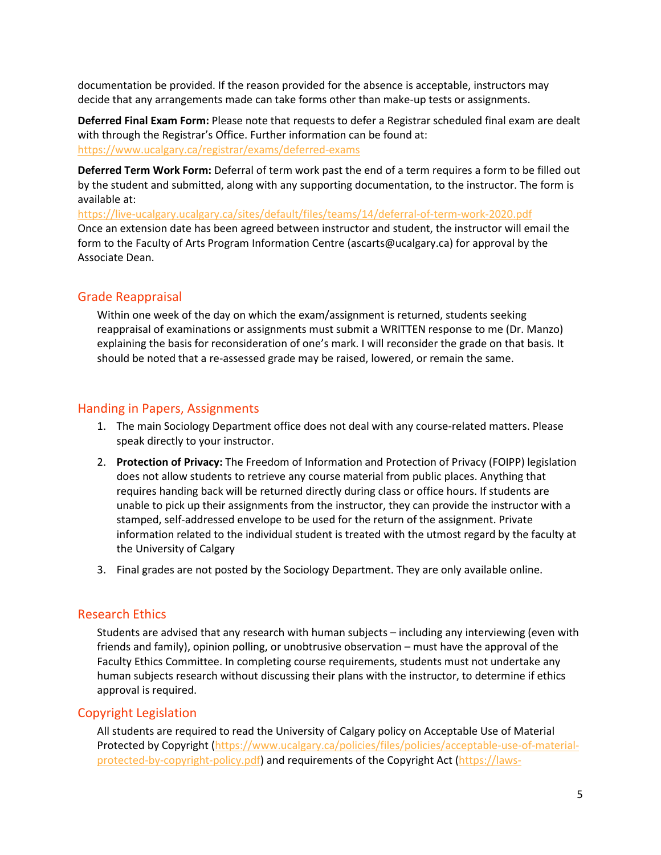documentation be provided. If the reason provided for the absence is acceptable, instructors may decide that any arrangements made can take forms other than make-up tests or assignments.

**Deferred Final Exam Form:** Please note that requests to defer a Registrar scheduled final exam are dealt with through the Registrar's Office. Further information can be found at: <https://www.ucalgary.ca/registrar/exams/deferred-exams>

**Deferred Term Work Form:** Deferral of term work past the end of a term requires a form to be filled out by the student and submitted, along with any supporting documentation, to the instructor. The form is available at:

<https://live-ucalgary.ucalgary.ca/sites/default/files/teams/14/deferral-of-term-work-2020.pdf> Once an extension date has been agreed between instructor and student, the instructor will email the form to the Faculty of Arts Program Information Centre (ascarts@ucalgary.ca) for approval by the Associate Dean.

## Grade Reappraisal

Within one week of the day on which the exam/assignment is returned, students seeking reappraisal of examinations or assignments must submit a WRITTEN response to me (Dr. Manzo) explaining the basis for reconsideration of one's mark. I will reconsider the grade on that basis. It should be noted that a re-assessed grade may be raised, lowered, or remain the same.

## Handing in Papers, Assignments

- 1. The main Sociology Department office does not deal with any course-related matters. Please speak directly to your instructor.
- 2. **Protection of Privacy:** The Freedom of Information and Protection of Privacy (FOIPP) legislation does not allow students to retrieve any course material from public places. Anything that requires handing back will be returned directly during class or office hours. If students are unable to pick up their assignments from the instructor, they can provide the instructor with a stamped, self-addressed envelope to be used for the return of the assignment. Private information related to the individual student is treated with the utmost regard by the faculty at the University of Calgary
- 3. Final grades are not posted by the Sociology Department. They are only available online.

#### Research Ethics

Students are advised that any research with human subjects – including any interviewing (even with friends and family), opinion polling, or unobtrusive observation – must have the approval of the Faculty Ethics Committee. In completing course requirements, students must not undertake any human subjects research without discussing their plans with the instructor, to determine if ethics approval is required.

#### Copyright Legislation

All students are required to read the University of Calgary policy on Acceptable Use of Material Protected by Copyright [\(https://www.ucalgary.ca/policies/files/policies/acceptable-use-of-material](https://www.ucalgary.ca/policies/files/policies/acceptable-use-of-material-protected-by-copyright-policy.pdf)[protected-by-copyright-policy.pdf\)](https://www.ucalgary.ca/policies/files/policies/acceptable-use-of-material-protected-by-copyright-policy.pdf) and requirements of the Copyright Act [\(https://laws-](https://laws-lois.justice.gc.ca/eng/acts/C-42/index.html)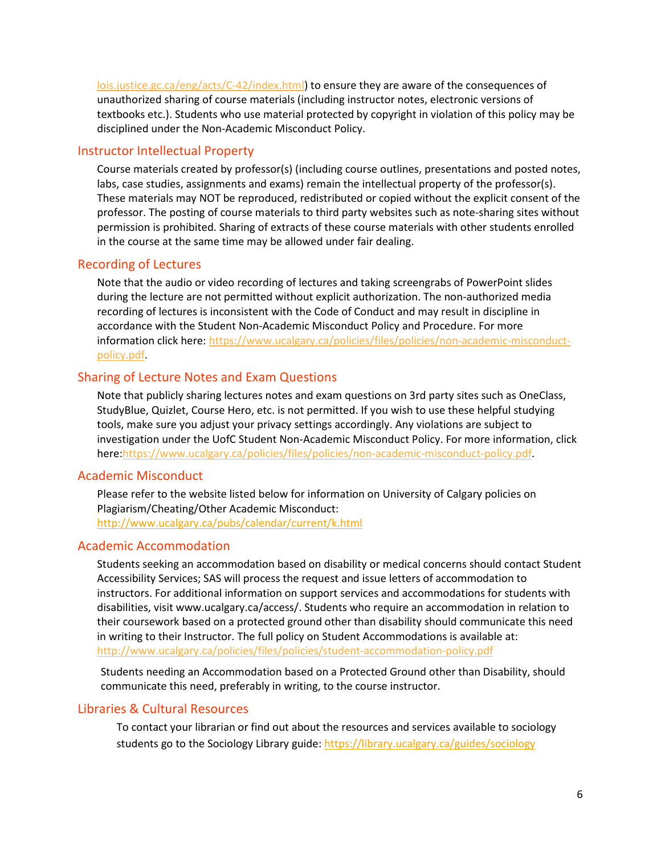[lois.justice.gc.ca/eng/acts/C-42/index.html\)](https://laws-lois.justice.gc.ca/eng/acts/C-42/index.html) to ensure they are aware of the consequences of unauthorized sharing of course materials (including instructor notes, electronic versions of textbooks etc.). Students who use material protected by copyright in violation of this policy may be disciplined under the Non-Academic Misconduct Policy.

## Instructor Intellectual Property

Course materials created by professor(s) (including course outlines, presentations and posted notes, labs, case studies, assignments and exams) remain the intellectual property of the professor(s). These materials may NOT be reproduced, redistributed or copied without the explicit consent of the professor. The posting of course materials to third party websites such as note-sharing sites without permission is prohibited. Sharing of extracts of these course materials with other students enrolled in the course at the same time may be allowed under fair dealing.

#### Recording of Lectures

Note that the audio or video recording of lectures and taking screengrabs of PowerPoint slides during the lecture are not permitted without explicit authorization. The non-authorized media recording of lectures is inconsistent with the Code of Conduct and may result in discipline in accordance with the Student Non-Academic Misconduct Policy and Procedure. For more information click here: [https://www.ucalgary.ca/policies/files/policies/non-academic-misconduct](https://www.ucalgary.ca/policies/files/policies/non-academic-misconduct-policy.pdf)[policy.pdf.](https://www.ucalgary.ca/policies/files/policies/non-academic-misconduct-policy.pdf)

## Sharing of Lecture Notes and Exam Questions

Note that publicly sharing lectures notes and exam questions on 3rd party sites such as OneClass, StudyBlue, Quizlet, Course Hero, etc. is not permitted. If you wish to use these helpful studying tools, make sure you adjust your privacy settings accordingly. Any violations are subject to investigation under the UofC Student Non-Academic Misconduct Policy. For more information, click here[:https://www.ucalgary.ca/policies/files/policies/non-academic-misconduct-policy.pdf.](https://www.ucalgary.ca/policies/files/policies/non-academic-misconduct-policy.pdf)

#### Academic Misconduct

Please refer to the website listed below for information on University of Calgary policies on Plagiarism/Cheating/Other Academic Misconduct: <http://www.ucalgary.ca/pubs/calendar/current/k.html>

# Academic Accommodation

Students seeking an accommodation based on disability or medical concerns should contact Student Accessibility Services; SAS will process the request and issue letters of accommodation to instructors. For additional information on support services and accommodations for students with disabilities, visit www.ucalgary.ca/access/. Students who require an accommodation in relation to their coursework based on a protected ground other than disability should communicate this need in writing to their Instructor. The full policy on Student Accommodations is available at: <http://www.ucalgary.ca/policies/files/policies/student-accommodation-policy.pdf>

Students needing an Accommodation based on a Protected Ground other than Disability, should communicate this need, preferably in writing, to the course instructor.

# Libraries & Cultural Resources

To contact your librarian or find out about the resources and services available to sociology students go to the Sociology Library guide[: https://library.ucalgary.ca/guides/sociology](https://library.ucalgary.ca/guides/sociology)